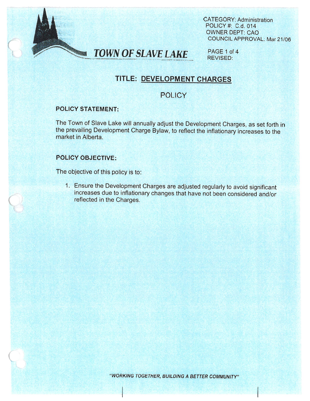



PAGE 1 of 4 REVISED:

# TITLE: DEVELOPMENT CHARGES

## **POLICY**

### POLICY STATEMENT:

- s,  $\ddot{\phantom{0}}$ 

> The Town of Slave Lake will annually adjust the Development Charges, as set forth in the prevailing Development Charge Bylaw, to reflect the inflationary increases to the market in Alberta.

### POLiCY OBJECTIVE:

The objective of this policy is to:

<sup>I</sup> Ensure the Development Charges are adjusted regularly to avoid significant increases due to inflationary changes that have not been considered and/or reflected in the Charges.

'WORKING TOGETHER, BUILDING A BETTER COMMUNITY"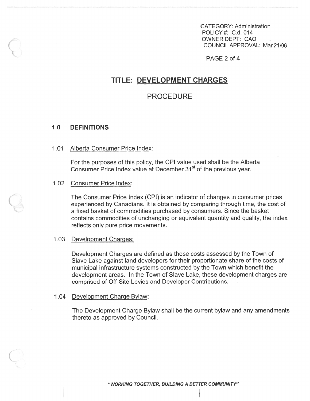CATEGORY: Administration POLICY #: C.d. 014 OWNER DEPT: CAO COUNCIL APPROVAL: Mar 21/06

PAGE 2 of 4

## TITLE: DEVELOPMENT CHARGES

### PROCEDURE

### 10 DEFINITIONS

#### 1.01 Alberta Consumer Price Index:

For the purposes of this policy, the CPI value used shall be the Alberta Consumer Price Index value at December 31<sup>st</sup> of the previous year.

#### 1.02 Consumer Price Index:

The Consumer Price Index (CPI) is an indicator of changes in consumer prices experienced by Canadians. It is obtained by comparing through time, the cost of <sup>a</sup> fixed basket of commodities purchased by consumers. Since the basket contains commodities of unchanging or equivalent quantity and quality, the index reflects only pure price movements.

#### 1.03 Development Charges:

Development Charges are defined as those costs assessed by the Town of Slave Lake against land developers for their proportionate share of the costs of municipal infrastructure systems constructed by the Town which benefit the development areas. In the Town of Slave Lake, these development charges are comprised of Off-Site Levies and Developer Contributions.

#### 1.04 Development Charge Bylaw:

The Development Charge Bylaw shall be the current bylaw and any amendments thereto as approved by Council.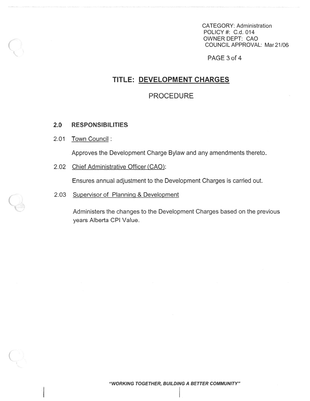CATEGORY: Administration POLICY #: C.d. 014 OWNER DEPT: CAO COUNCIL APPROVAL: Mar 21/06

PAGE 3 of 4

## TITLE: DEVELOPMENT CHARGES

## PROCEDURE

#### 2.0 RESPONSIBILITIES

### 2.01 Town Council:

Approves the Development Charge Bylaw and any amendments thereto.

2.02 Chief Administrative Officer (CAO):

Ensures annual adjustment to the Development Charges is carried out.

### 2.03 Supervisor of Planning & Development

Administers the changes to the Development Charges based on the previous years Alberta CPI Value.